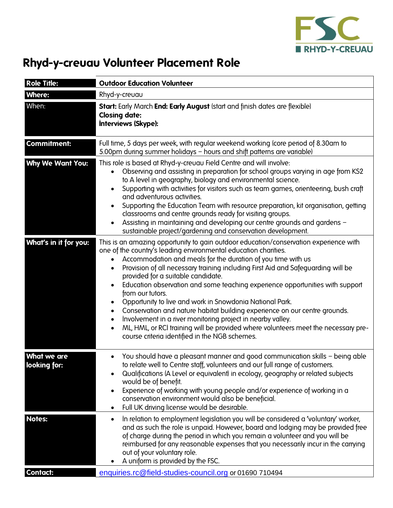

## **Rhyd-y-creuau Volunteer Placement Role**

| <b>Role Title:</b>                 | <b>Outdoor Education Volunteer</b>                                                                                                                                                                                                                                                                                                                                                                                                                                                                                                                                                                                                                                                                                                                                                                                    |
|------------------------------------|-----------------------------------------------------------------------------------------------------------------------------------------------------------------------------------------------------------------------------------------------------------------------------------------------------------------------------------------------------------------------------------------------------------------------------------------------------------------------------------------------------------------------------------------------------------------------------------------------------------------------------------------------------------------------------------------------------------------------------------------------------------------------------------------------------------------------|
| <b>Where:</b>                      | Rhyd-y-creuau                                                                                                                                                                                                                                                                                                                                                                                                                                                                                                                                                                                                                                                                                                                                                                                                         |
| When:                              | Start: Early March End: Early August (start and finish dates are flexible)<br><b>Closing date:</b><br><b>Interviews (Skype):</b>                                                                                                                                                                                                                                                                                                                                                                                                                                                                                                                                                                                                                                                                                      |
| <b>Commitment:</b>                 | Full time, 5 days per week, with regular weekend working (core period of 8.30am to<br>5.00pm during summer holidays – hours and shift patterns are variable)                                                                                                                                                                                                                                                                                                                                                                                                                                                                                                                                                                                                                                                          |
| <b>Why We Want You:</b>            | This role is based at Rhyd-y-creuau Field Centre and will involve:<br>Observing and assisting in preparation for school groups varying in age from KS2<br>to A level in geography, biology and environmental science.<br>Supporting with activities for visitors such as team games, orienteering, bush craft<br>$\bullet$<br>and adventurous activities.<br>Supporting the Education Team with resource preparation, kit organisation, getting<br>classrooms and centre grounds ready for visiting groups.<br>Assisting in maintaining and developing our centre grounds and gardens -<br>sustainable project/gardening and conservation development.                                                                                                                                                                |
| What's in it for you:              | This is an amazing opportunity to gain outdoor education/conservation experience with<br>one of the country's leading environmental education charities.<br>Accommodation and meals for the duration of you time with us<br>Provision of all necessary training including First Aid and Safeguarding will be<br>provided for a suitable candidate.<br>Education observation and some teaching experience opportunities with support<br>from our tutors.<br>Opportunity to live and work in Snowdonia National Park.<br>Conservation and nature habitat building experience on our centre grounds.<br>Involvement in a river monitoring project in nearby valley.<br>ML, HML, or RCI training will be provided where volunteers meet the necessary pre-<br>$\bullet$<br>course criteria identified in the NGB schemes. |
| <b>What we are</b><br>looking for: | You should have a pleasant manner and good communication skills - being able<br>to relate well to Centre staff, volunteers and our full range of customers.<br>Qualifications (A Level or equivalent) in ecology, geography or related subjects<br>would be of benefit.<br>Experience of working with young people and/or experience of working in a<br>conservation environment would also be beneficial.<br>Full UK driving license would be desirable.<br>$\bullet$                                                                                                                                                                                                                                                                                                                                                |
| <b>Notes:</b>                      | In relation to employment legislation you will be considered a 'voluntary' worker,<br>$\bullet$<br>and as such the role is unpaid. However, board and lodging may be provided free<br>of charge during the period in which you remain a volunteer and you will be<br>reimbursed for any reasonable expenses that you necessarily incur in the carrying<br>out of your voluntary role.<br>A uniform is provided by the FSC.                                                                                                                                                                                                                                                                                                                                                                                            |
| <b>Contact:</b>                    | enquiries.rc@field-studies-council.org or 01690 710494                                                                                                                                                                                                                                                                                                                                                                                                                                                                                                                                                                                                                                                                                                                                                                |